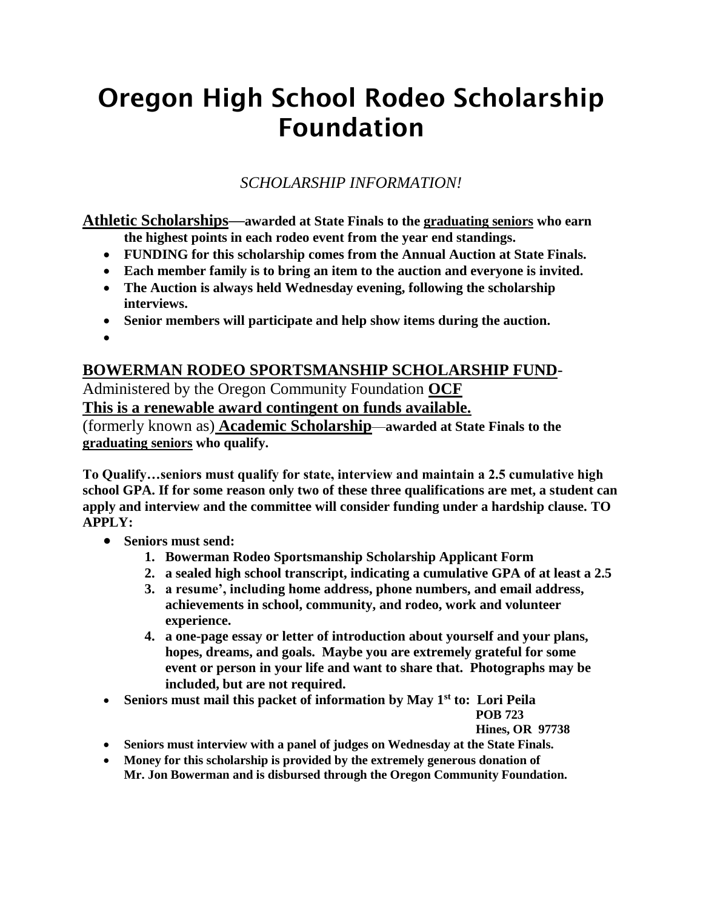# Oregon High School Rodeo Scholarship Foundation

## *SCHOLARSHIP INFORMATION!*

**Athletic Scholarships—awarded at State Finals to the graduating seniors who earn the highest points in each rodeo event from the year end standings.** 

- **FUNDING for this scholarship comes from the Annual Auction at State Finals.**
- **Each member family is to bring an item to the auction and everyone is invited.**
- **The Auction is always held Wednesday evening, following the scholarship interviews.**
- **Senior members will participate and help show items during the auction.**
- $\bullet$

### **BOWERMAN RODEO SPORTSMANSHIP SCHOLARSHIP FUND**-

Administered by the Oregon Community Foundation **OCF This is a renewable award contingent on funds available.**

(formerly known as) **Academic Scholarship**—**awarded at State Finals to the graduating seniors who qualify.**

**To Qualify…seniors must qualify for state, interview and maintain a 2.5 cumulative high school GPA. If for some reason only two of these three qualifications are met, a student can apply and interview and the committee will consider funding under a hardship clause. TO APPLY:**

- **Seniors must send:**
	- **1. Bowerman Rodeo Sportsmanship Scholarship Applicant Form**
	- **2. a sealed high school transcript, indicating a cumulative GPA of at least a 2.5**
	- **3. a resume', including home address, phone numbers, and email address, achievements in school, community, and rodeo, work and volunteer experience.**
	- **4. a one-page essay or letter of introduction about yourself and your plans, hopes, dreams, and goals. Maybe you are extremely grateful for some event or person in your life and want to share that. Photographs may be included, but are not required.**
- **Seniors must mail this packet of information by May 1st to: Lori Peila**

#### **POB 723**

**Hines, OR 97738**

- **Seniors must interview with a panel of judges on Wednesday at the State Finals.**
- **Money for this scholarship is provided by the extremely generous donation of Mr. Jon Bowerman and is disbursed through the Oregon Community Foundation.**